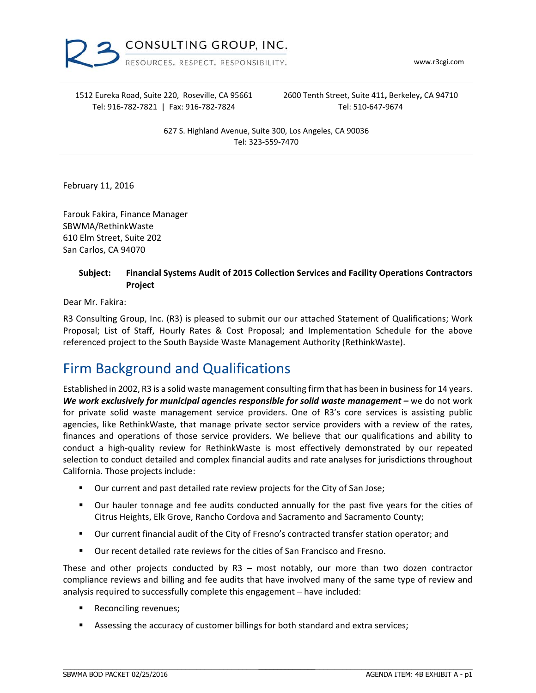

www.r3cgi.com

1512 Eureka Road, Suite 220, Roseville, CA 95661 Tel: 916‐782‐7821 | Fax: 916‐782‐7824

2600 Tenth Street, Suite 411**,** Berkeley**,** CA 94710 Tel: 510‐647‐9674

627 S. Highland Avenue, Suite 300, Los Angeles, CA 90036 Tel: 323‐559‐7470

February 11, 2016

Farouk Fakira, Finance Manager SBWMA/RethinkWaste 610 Elm Street, Suite 202 San Carlos, CA 94070

#### **Subject: Financial Systems Audit of 2015 Collection Services and Facility Operations Contractors Project**

Dear Mr. Fakira:

R3 Consulting Group, Inc. (R3) is pleased to submit our our attached Statement of Qualifications; Work Proposal; List of Staff, Hourly Rates & Cost Proposal; and Implementation Schedule for the above referenced project to the South Bayside Waste Management Authority (RethinkWaste).

## Firm Background and Qualifications

Established in 2002, R3 is a solid waste management consulting firm that has been in businessfor 14 years. *We work exclusively for municipal agencies responsible for solid waste management –* we do not work for private solid waste management service providers. One of R3's core services is assisting public agencies, like RethinkWaste, that manage private sector service providers with a review of the rates, finances and operations of those service providers. We believe that our qualifications and ability to conduct a high-quality review for RethinkWaste is most effectively demonstrated by our repeated selection to conduct detailed and complex financial audits and rate analyses for jurisdictions throughout California. Those projects include:

- Our current and past detailed rate review projects for the City of San Jose;
- Our hauler tonnage and fee audits conducted annually for the past five years for the cities of Citrus Heights, Elk Grove, Rancho Cordova and Sacramento and Sacramento County;
- Our current financial audit of the City of Fresno's contracted transfer station operator; and
- Our recent detailed rate reviews for the cities of San Francisco and Fresno.

These and other projects conducted by  $R3$  – most notably, our more than two dozen contractor compliance reviews and billing and fee audits that have involved many of the same type of review and analysis required to successfully complete this engagement - have included:

- Reconciling revenues;
- Assessing the accuracy of customer billings for both standard and extra services;

 $\_$  , and the set of the set of the set of the set of the set of the set of the set of the set of the set of the set of the set of the set of the set of the set of the set of the set of the set of the set of the set of th

\_\_\_\_\_\_\_\_\_\_\_\_\_\_\_\_\_\_\_\_\_\_\_\_\_\_\_\_\_\_\_\_\_\_\_\_\_\_\_\_\_\_\_\_\_\_\_\_\_\_\_\_\_\_\_\_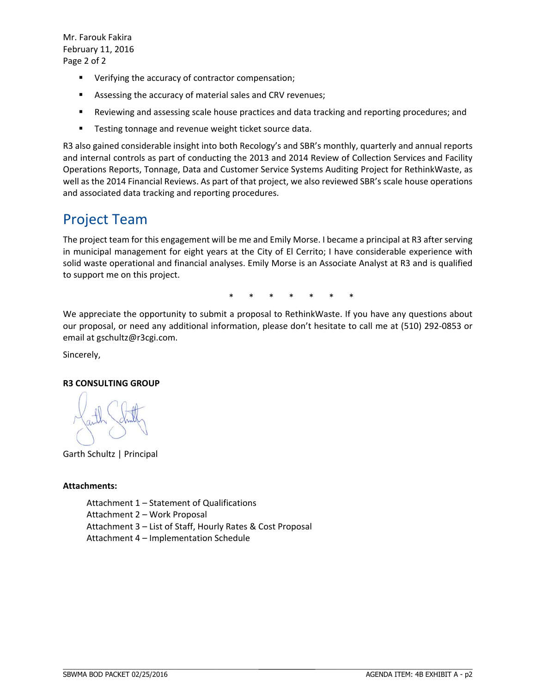Mr. Farouk Fakira February 11, 2016 Page 2 of 2

- Verifying the accuracy of contractor compensation;
- Assessing the accuracy of material sales and CRV revenues;
- Reviewing and assessing scale house practices and data tracking and reporting procedures; and
- **Testing tonnage and revenue weight ticket source data.**

R3 also gained considerable insight into both Recology's and SBR's monthly, quarterly and annual reports and internal controls as part of conducting the 2013 and 2014 Review of Collection Services and Facility Operations Reports, Tonnage, Data and Customer Service Systems Auditing Project for RethinkWaste, as well as the 2014 Financial Reviews. As part of that project, we also reviewed SBR's scale house operations and associated data tracking and reporting procedures.

## Project Team

The project team for this engagement will be me and Emily Morse. I became a principal at R3 after serving in municipal management for eight years at the City of El Cerrito; I have considerable experience with solid waste operational and financial analyses. Emily Morse is an Associate Analyst at R3 and is qualified to support me on this project.

\* \* \* \* \* \* \*

We appreciate the opportunity to submit a proposal to RethinkWaste. If you have any questions about our proposal, or need any additional information, please don't hesitate to call me at (510) 292‐0853 or email at gschultz@r3cgi.com.

Sincerely,

#### **R3 CONSULTING GROUP**

Garth Schultz | Principal

#### **Attachments:**

Attachment 1 – Statement of Qualifications Attachment 2 – Work Proposal Attachment 3 – List of Staff, Hourly Rates & Cost Proposal Attachment 4 – Implementation Schedule

 $\_$  , and the set of the set of the set of the set of the set of the set of the set of the set of the set of the set of the set of the set of the set of the set of the set of the set of the set of the set of the set of th

\_\_\_\_\_\_\_\_\_\_\_\_\_\_\_\_\_\_\_\_\_\_\_\_\_\_\_\_\_\_\_\_\_\_\_\_\_\_\_\_\_\_\_\_\_\_\_\_\_\_\_\_\_\_\_\_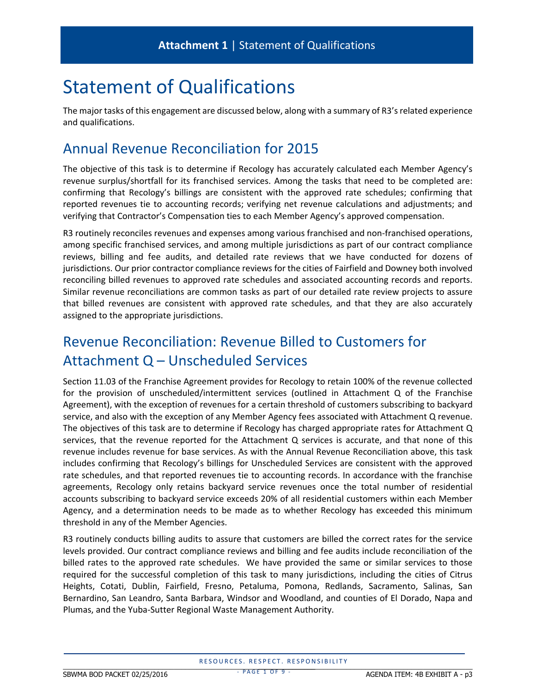## Statement of Qualifications

The major tasks of this engagement are discussed below, along with a summary of R3'srelated experience and qualifications.

## Annual Revenue Reconciliation for 2015

The objective of this task is to determine if Recology has accurately calculated each Member Agency's revenue surplus/shortfall for its franchised services. Among the tasks that need to be completed are: confirming that Recology's billings are consistent with the approved rate schedules; confirming that reported revenues tie to accounting records; verifying net revenue calculations and adjustments; and verifying that Contractor's Compensation ties to each Member Agency's approved compensation.

R3 routinely reconciles revenues and expenses among various franchised and non-franchised operations, among specific franchised services, and among multiple jurisdictions as part of our contract compliance reviews, billing and fee audits, and detailed rate reviews that we have conducted for dozens of jurisdictions. Our prior contractor compliance reviews for the cities of Fairfield and Downey both involved reconciling billed revenues to approved rate schedules and associated accounting records and reports. Similar revenue reconciliations are common tasks as part of our detailed rate review projects to assure that billed revenues are consistent with approved rate schedules, and that they are also accurately assigned to the appropriate jurisdictions.

## Revenue Reconciliation: Revenue Billed to Customers for Attachment Q – Unscheduled Services

Section 11.03 of the Franchise Agreement provides for Recology to retain 100% of the revenue collected for the provision of unscheduled/intermittent services (outlined in Attachment Q of the Franchise Agreement), with the exception of revenues for a certain threshold of customers subscribing to backyard service, and also with the exception of any Member Agency fees associated with Attachment Q revenue. The objectives of this task are to determine if Recology has charged appropriate rates for Attachment Q services, that the revenue reported for the Attachment Q services is accurate, and that none of this revenue includes revenue for base services. As with the Annual Revenue Reconciliation above, this task includes confirming that Recology's billings for Unscheduled Services are consistent with the approved rate schedules, and that reported revenues tie to accounting records. In accordance with the franchise agreements, Recology only retains backyard service revenues once the total number of residential accounts subscribing to backyard service exceeds 20% of all residential customers within each Member Agency, and a determination needs to be made as to whether Recology has exceeded this minimum threshold in any of the Member Agencies.

R3 routinely conducts billing audits to assure that customers are billed the correct rates for the service levels provided. Our contract compliance reviews and billing and fee audits include reconciliation of the billed rates to the approved rate schedules. We have provided the same or similar services to those required for the successful completion of this task to many jurisdictions, including the cities of Citrus Heights, Cotati, Dublin, Fairfield, Fresno, Petaluma, Pomona, Redlands, Sacramento, Salinas, San Bernardino, San Leandro, Santa Barbara, Windsor and Woodland, and counties of El Dorado, Napa and Plumas, and the Yuba‐Sutter Regional Waste Management Authority.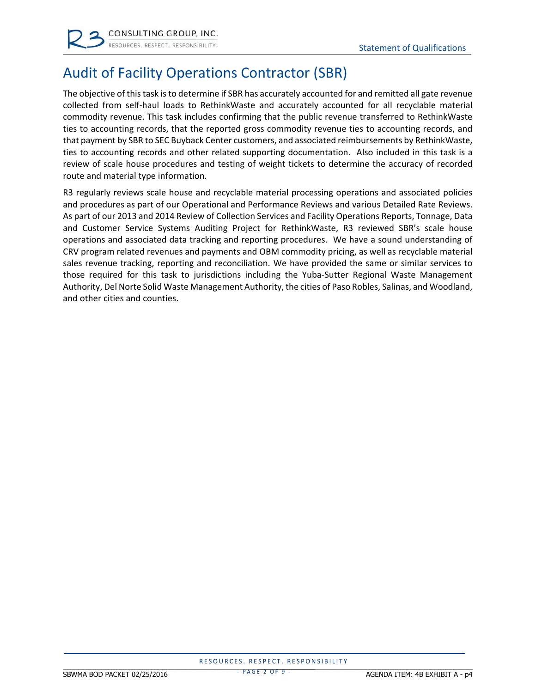

## Audit of Facility Operations Contractor (SBR)

The objective of thistask isto determine if SBR has accurately accounted for and remitted all gate revenue collected from self‐haul loads to RethinkWaste and accurately accounted for all recyclable material commodity revenue. This task includes confirming that the public revenue transferred to RethinkWaste ties to accounting records, that the reported gross commodity revenue ties to accounting records, and that payment by SBR to SEC Buyback Center customers, and associated reimbursements by RethinkWaste, ties to accounting records and other related supporting documentation. Also included in this task is a review of scale house procedures and testing of weight tickets to determine the accuracy of recorded route and material type information.

R3 regularly reviews scale house and recyclable material processing operations and associated policies and procedures as part of our Operational and Performance Reviews and various Detailed Rate Reviews. As part of our 2013 and 2014 Review of Collection Services and Facility Operations Reports, Tonnage, Data and Customer Service Systems Auditing Project for RethinkWaste, R3 reviewed SBR's scale house operations and associated data tracking and reporting procedures. We have a sound understanding of CRV program related revenues and payments and OBM commodity pricing, as well as recyclable material sales revenue tracking, reporting and reconciliation. We have provided the same or similar services to those required for this task to jurisdictions including the Yuba-Sutter Regional Waste Management Authority, Del Norte Solid Waste Management Authority, the cities of Paso Robles, Salinas, and Woodland, and other cities and counties.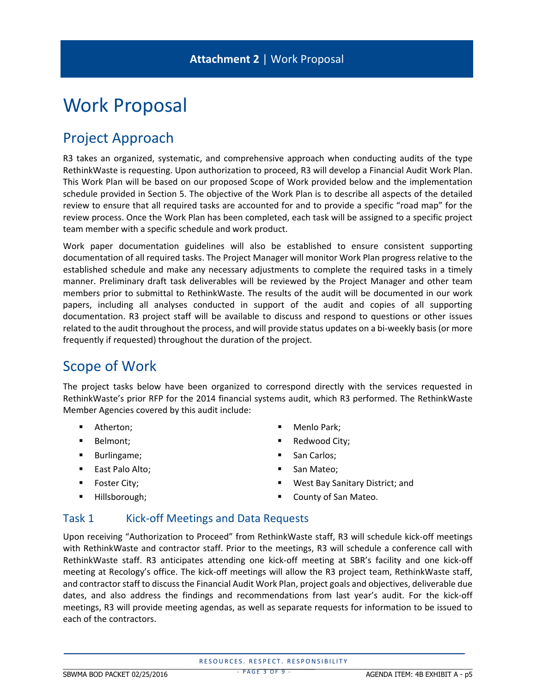## Work Proposal

## Project Approach

R3 takes an organized, systematic, and comprehensive approach when conducting audits of the type RethinkWaste is requesting. Upon authorization to proceed, R3 will develop a Financial Audit Work Plan. This Work Plan will be based on our proposed Scope of Work provided below and the implementation schedule provided in Section 5. The objective of the Work Plan is to describe all aspects of the detailed review to ensure that all required tasks are accounted for and to provide a specific "road map" for the review process. Once the Work Plan has been completed, each task will be assigned to a specific project team member with a specific schedule and work product.

Work paper documentation guidelines will also be established to ensure consistent supporting documentation of all required tasks. The Project Manager will monitor Work Plan progress relative to the established schedule and make any necessary adjustments to complete the required tasks in a timely manner. Preliminary draft task deliverables will be reviewed by the Project Manager and other team members prior to submittal to RethinkWaste. The results of the audit will be documented in our work papers, including all analyses conducted in support of the audit and copies of all supporting documentation. R3 project staff will be available to discuss and respond to questions or other issues related to the audit throughout the process, and will provide status updates on a bi‐weekly basis (or more frequently if requested) throughout the duration of the project.

### Scope of Work

The project tasks below have been organized to correspond directly with the services requested in RethinkWaste's prior RFP for the 2014 financial systems audit, which R3 performed. The RethinkWaste Member Agencies covered by this audit include:

- **Atherton**;
- **Belmont**;
- **Burlingame**;
- **East Palo Alto;**
- Foster City;
- Hillsborough;
- Menlo Park;
- **Redwood City;**
- San Carlos:
- San Mateo;
- West Bay Sanitary District; and
- County of San Mateo.

#### Task 1 Kick-off Meetings and Data Requests

Upon receiving "Authorization to Proceed" from RethinkWaste staff, R3 will schedule kick‐off meetings with RethinkWaste and contractor staff. Prior to the meetings, R3 will schedule a conference call with RethinkWaste staff. R3 anticipates attending one kick-off meeting at SBR's facility and one kick-off meeting at Recology's office. The kick‐off meetings will allow the R3 project team, RethinkWaste staff, and contractorstaff to discussthe Financial Audit Work Plan, project goals and objectives, deliverable due dates, and also address the findings and recommendations from last year's audit. For the kick‐off meetings, R3 will provide meeting agendas, as well as separate requests for information to be issued to each of the contractors.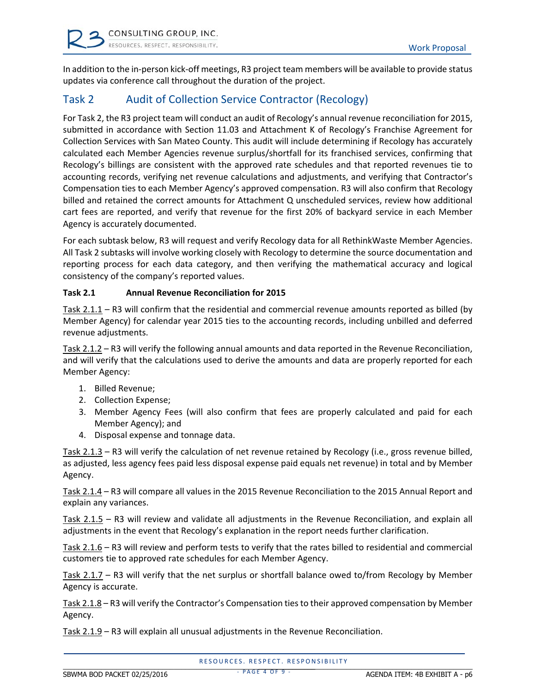In addition to the in‐person kick‐off meetings, R3 project team members will be available to provide status updates via conference call throughout the duration of the project.

### Task 2 Audit of Collection Service Contractor (Recology)

For Task 2, the R3 project team will conduct an audit of Recology's annual revenue reconciliation for 2015, submitted in accordance with Section 11.03 and Attachment K of Recology's Franchise Agreement for Collection Services with San Mateo County. This audit will include determining if Recology has accurately calculated each Member Agencies revenue surplus/shortfall for its franchised services, confirming that Recology's billings are consistent with the approved rate schedules and that reported revenues tie to accounting records, verifying net revenue calculations and adjustments, and verifying that Contractor's Compensation ties to each Member Agency's approved compensation. R3 will also confirm that Recology billed and retained the correct amounts for Attachment Q unscheduled services, review how additional cart fees are reported, and verify that revenue for the first 20% of backyard service in each Member Agency is accurately documented.

For each subtask below, R3 will request and verify Recology data for all RethinkWaste Member Agencies. All Task 2 subtasks will involve working closely with Recology to determine the source documentation and reporting process for each data category, and then verifying the mathematical accuracy and logical consistency of the company's reported values.

#### **Task 2.1 Annual Revenue Reconciliation for 2015**

Task 2.1.1 – R3 will confirm that the residential and commercial revenue amounts reported as billed (by Member Agency) for calendar year 2015 ties to the accounting records, including unbilled and deferred revenue adjustments.

Task 2.1.2 – R3 will verify the following annual amounts and data reported in the Revenue Reconciliation, and will verify that the calculations used to derive the amounts and data are properly reported for each Member Agency:

- 1. Billed Revenue;
- 2. Collection Expense;
- 3. Member Agency Fees (will also confirm that fees are properly calculated and paid for each Member Agency); and
- 4. Disposal expense and tonnage data.

Task 2.1.3 – R3 will verify the calculation of net revenue retained by Recology (i.e., gross revenue billed, as adjusted, less agency fees paid less disposal expense paid equals net revenue) in total and by Member Agency.

Task 2.1.4 – R3 will compare all values in the 2015 Revenue Reconciliation to the 2015 Annual Report and explain any variances.

Task 2.1.5 – R3 will review and validate all adjustments in the Revenue Reconciliation, and explain all adjustments in the event that Recology's explanation in the report needs further clarification.

Task 2.1.6 – R3 will review and perform tests to verify that the rates billed to residential and commercial customers tie to approved rate schedules for each Member Agency.

Task 2.1.7 – R3 will verify that the net surplus or shortfall balance owed to/from Recology by Member Agency is accurate.

Task 2.1.8 – R3 will verify the Contractor's Compensation tiesto their approved compensation by Member Agency.

Task 2.1.9 – R3 will explain all unusual adjustments in the Revenue Reconciliation.

- PAGE 4 OF 9 -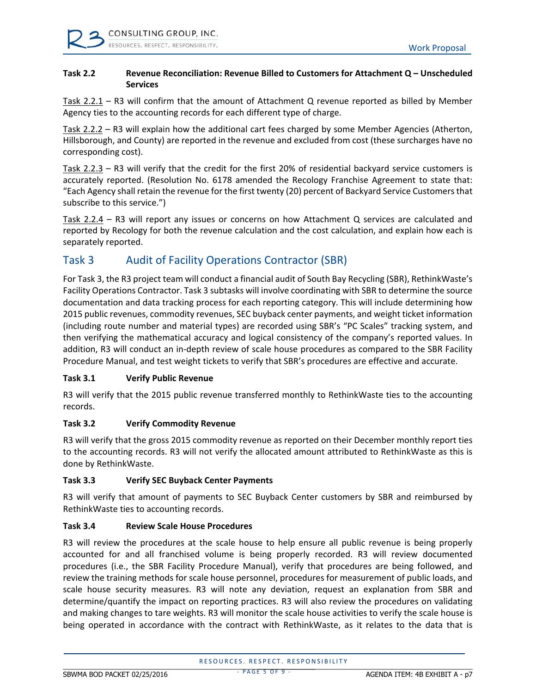#### **Task 2.2 Revenue Reconciliation: Revenue Billed to Customers for Attachment Q – Unscheduled Services**

Task 2.2.1 – R3 will confirm that the amount of Attachment Q revenue reported as billed by Member Agency ties to the accounting records for each different type of charge.

Task 2.2.2 – R3 will explain how the additional cart fees charged by some Member Agencies (Atherton, Hillsborough, and County) are reported in the revenue and excluded from cost (these surcharges have no corresponding cost).

Task 2.2.3 – R3 will verify that the credit for the first 20% of residential backyard service customers is accurately reported. (Resolution No. 6178 amended the Recology Franchise Agreement to state that: "Each Agency shall retain the revenue for the first twenty (20) percent of Backyard Service Customersthat subscribe to this service.")

Task 2.2.4 – R3 will report any issues or concerns on how Attachment Q services are calculated and reported by Recology for both the revenue calculation and the cost calculation, and explain how each is separately reported.

#### Task 3 Audit of Facility Operations Contractor (SBR)

For Task 3, the R3 project team will conduct a financial audit of South Bay Recycling (SBR), RethinkWaste's Facility Operations Contractor. Task 3 subtasks will involve coordinating with SBR to determine the source documentation and data tracking process for each reporting category. This will include determining how 2015 public revenues, commodity revenues, SEC buyback center payments, and weight ticket information (including route number and material types) are recorded using SBR's "PC Scales" tracking system, and then verifying the mathematical accuracy and logical consistency of the company's reported values. In addition, R3 will conduct an in‐depth review of scale house procedures as compared to the SBR Facility Procedure Manual, and test weight tickets to verify that SBR's procedures are effective and accurate.

#### **Task 3.1 Verify Public Revenue**

R3 will verify that the 2015 public revenue transferred monthly to RethinkWaste ties to the accounting records.

#### **Task 3.2 Verify Commodity Revenue**

R3 will verify that the gross 2015 commodity revenue as reported on their December monthly report ties to the accounting records. R3 will not verify the allocated amount attributed to RethinkWaste as this is done by RethinkWaste.

#### **Task 3.3 Verify SEC Buyback Center Payments**

R3 will verify that amount of payments to SEC Buyback Center customers by SBR and reimbursed by RethinkWaste ties to accounting records.

#### **Task 3.4 Review Scale House Procedures**

R3 will review the procedures at the scale house to help ensure all public revenue is being properly accounted for and all franchised volume is being properly recorded. R3 will review documented procedures (i.e., the SBR Facility Procedure Manual), verify that procedures are being followed, and review the training methods for scale house personnel, procedures for measurement of public loads, and scale house security measures. R3 will note any deviation, request an explanation from SBR and determine/quantify the impact on reporting practices. R3 will also review the procedures on validating and making changes to tare weights. R3 will monitor the scale house activities to verify the scale house is being operated in accordance with the contract with RethinkWaste, as it relates to the data that is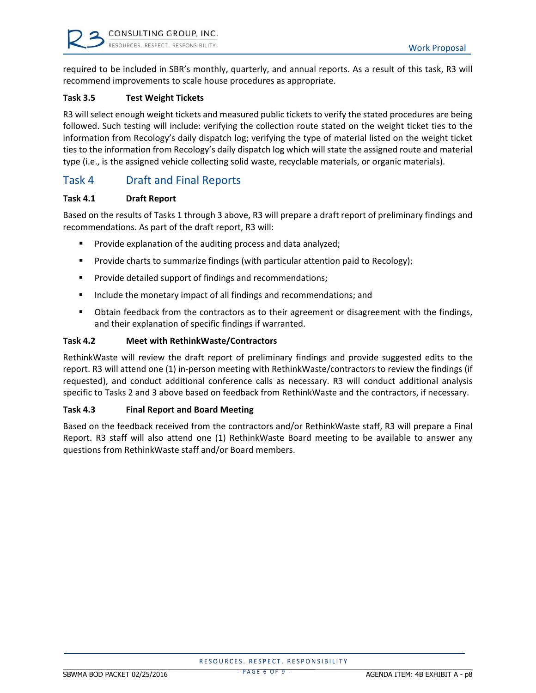required to be included in SBR's monthly, quarterly, and annual reports. As a result of this task, R3 will recommend improvements to scale house procedures as appropriate.

#### **Task 3.5 Test Weight Tickets**

R3 will select enough weight tickets and measured public tickets to verify the stated procedures are being followed. Such testing will include: verifying the collection route stated on the weight ticket ties to the information from Recology's daily dispatch log; verifying the type of material listed on the weight ticket ties to the information from Recology's daily dispatch log which will state the assigned route and material type (i.e., is the assigned vehicle collecting solid waste, recyclable materials, or organic materials).

#### Task 4 Draft and Final Reports

#### **Task 4.1 Draft Report**

Based on the results of Tasks 1 through 3 above, R3 will prepare a draft report of preliminary findings and recommendations. As part of the draft report, R3 will:

- Provide explanation of the auditing process and data analyzed;
- Provide charts to summarize findings (with particular attention paid to Recology);
- **Provide detailed support of findings and recommendations;**
- **Include the monetary impact of all findings and recommendations; and**
- **D** Obtain feedback from the contractors as to their agreement or disagreement with the findings, and their explanation of specific findings if warranted.

#### **Task 4.2 Meet with RethinkWaste/Contractors**

RethinkWaste will review the draft report of preliminary findings and provide suggested edits to the report. R3 will attend one (1) in‐person meeting with RethinkWaste/contractors to review the findings (if requested), and conduct additional conference calls as necessary. R3 will conduct additional analysis specific to Tasks 2 and 3 above based on feedback from RethinkWaste and the contractors, if necessary.

#### **Task 4.3 Final Report and Board Meeting**

Based on the feedback received from the contractors and/or RethinkWaste staff, R3 will prepare a Final Report. R3 staff will also attend one (1) RethinkWaste Board meeting to be available to answer any questions from RethinkWaste staff and/or Board members.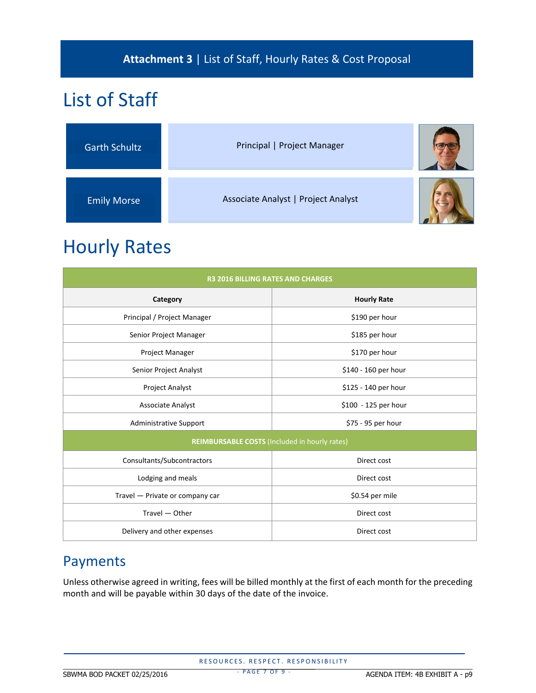### **Attachment 3** | List of Staff, Hourly Rates & Cost Proposal

# List of Staff

| <b>Garth Schultz</b> | Principal   Project Manager         |  |
|----------------------|-------------------------------------|--|
| <b>Emily Morse</b>   | Associate Analyst   Project Analyst |  |

## Hourly Rates

| <b>R3 2016 BILLING RATES AND CHARGES</b>      |                      |  |  |  |  |  |  |
|-----------------------------------------------|----------------------|--|--|--|--|--|--|
| Category                                      | <b>Hourly Rate</b>   |  |  |  |  |  |  |
| Principal / Project Manager                   | \$190 per hour       |  |  |  |  |  |  |
| Senior Project Manager                        | \$185 per hour       |  |  |  |  |  |  |
| Project Manager                               | \$170 per hour       |  |  |  |  |  |  |
| Senior Project Analyst                        | \$140 - 160 per hour |  |  |  |  |  |  |
| <b>Project Analyst</b>                        | \$125 - 140 per hour |  |  |  |  |  |  |
| <b>Associate Analyst</b>                      | \$100 - 125 per hour |  |  |  |  |  |  |
| <b>Administrative Support</b>                 | \$75 - 95 per hour   |  |  |  |  |  |  |
| REIMBURSABLE COSTS (Included in hourly rates) |                      |  |  |  |  |  |  |
| Consultants/Subcontractors                    | Direct cost          |  |  |  |  |  |  |
| Lodging and meals                             | Direct cost          |  |  |  |  |  |  |
| Travel - Private or company car               | \$0.54 per mile      |  |  |  |  |  |  |
| Travel - Other                                | Direct cost          |  |  |  |  |  |  |
| Delivery and other expenses                   | Direct cost          |  |  |  |  |  |  |

### Payments

Unless otherwise agreed in writing, fees will be billed monthly at the first of each month for the preceding month and will be payable within 30 days of the date of the invoice.

RESOURCES. RESPECT. RESPONSIBILITY \_\_\_\_\_\_\_\_\_\_\_\_\_\_\_\_\_\_\_\_\_\_\_\_\_\_\_\_\_\_\_\_\_\_\_\_\_\_\_\_\_\_\_\_\_\_\_\_\_\_\_\_\_\_\_\_\_\_\_\_\_\_\_\_\_\_ \_\_\_\_\_\_\_\_\_\_\_\_\_\_\_\_\_\_\_\_\_\_\_\_\_\_\_\_\_\_\_\_\_\_\_\_\_\_\_\_\_\_\_\_\_\_\_\_\_\_\_\_\_\_\_\_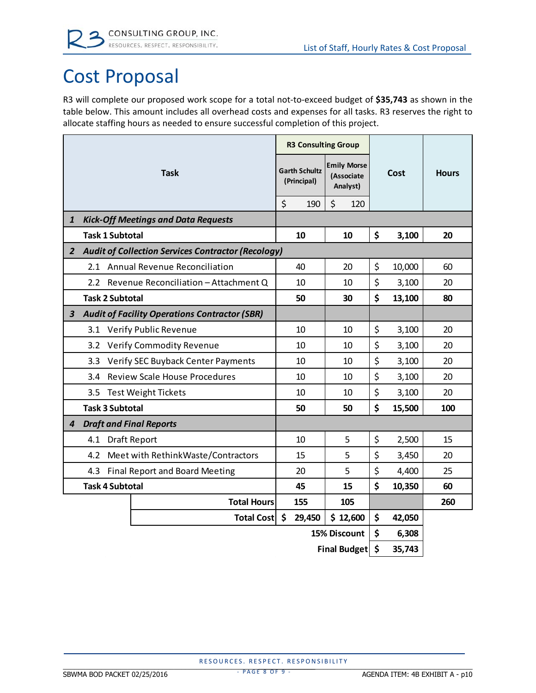# Cost Proposal

R3 will complete our proposed work scope for a total not‐to‐exceed budget of **\$35,743** as shown in the table below. This amount includes all overhead costs and expenses for all tasks. R3 reserves the right to allocate staffing hours as needed to ensure successful completion of this project.

| <b>Task</b>            |                                            | <b>R3 Consulting Group</b>                                |                                     |                                              |     |      |              |        |     |
|------------------------|--------------------------------------------|-----------------------------------------------------------|-------------------------------------|----------------------------------------------|-----|------|--------------|--------|-----|
|                        |                                            |                                                           | <b>Garth Schultz</b><br>(Principal) | <b>Emily Morse</b><br>(Associate<br>Analyst) |     | Cost | <b>Hours</b> |        |     |
|                        |                                            |                                                           | \$                                  | 190                                          | \$  | 120  |              |        |     |
| $\mathbf{1}$           | <b>Kick-Off Meetings and Data Requests</b> |                                                           |                                     |                                              |     |      |              |        |     |
|                        | <b>Task 1 Subtotal</b>                     |                                                           |                                     | 10                                           | 10  |      | \$           | 3,100  | 20  |
| $\mathbf{2}$           |                                            | <b>Audit of Collection Services Contractor (Recology)</b> |                                     |                                              |     |      |              |        |     |
|                        | 2.1 Annual Revenue Reconciliation          |                                                           |                                     | 40                                           | 20  |      | \$           | 10,000 | 60  |
|                        | 2.2 <sub>2</sub>                           | Revenue Reconciliation - Attachment Q                     |                                     | 10                                           | 10  |      | \$           | 3,100  | 20  |
|                        | <b>Task 2 Subtotal</b>                     |                                                           |                                     | 50                                           | 30  |      | \$           | 13,100 | 80  |
| 3                      |                                            | <b>Audit of Facility Operations Contractor (SBR)</b>      |                                     |                                              |     |      |              |        |     |
|                        | Verify Public Revenue<br>3.1               |                                                           |                                     | 10                                           | 10  |      | \$           | 3,100  | 20  |
|                        | <b>Verify Commodity Revenue</b><br>3.2     |                                                           |                                     | 10                                           | 10  |      | \$           | 3,100  | 20  |
|                        | 3.3                                        | Verify SEC Buyback Center Payments                        |                                     | 10                                           | 10  |      | \$           | 3,100  | 20  |
|                        | 3.4                                        | <b>Review Scale House Procedures</b>                      |                                     | 10                                           | 10  |      | \$           | 3,100  | 20  |
|                        | 3.5<br><b>Test Weight Tickets</b>          |                                                           |                                     | 10                                           | 10  |      | \$           | 3,100  | 20  |
|                        | <b>Task 3 Subtotal</b>                     |                                                           |                                     | 50                                           | 50  |      | \$           | 15,500 | 100 |
| 4                      | <b>Draft and Final Reports</b>             |                                                           |                                     |                                              |     |      |              |        |     |
|                        | 4.1<br><b>Draft Report</b>                 |                                                           |                                     | 10                                           | 5   |      | \$           | 2,500  | 15  |
|                        | 4.2                                        | Meet with Rethink Waste/Contractors                       |                                     | 15                                           | 5   |      | \$           | 3,450  | 20  |
|                        | 4.3                                        | <b>Final Report and Board Meeting</b>                     |                                     | 20                                           | 5   |      | \$           | 4,400  | 25  |
| <b>Task 4 Subtotal</b> |                                            |                                                           | 45                                  | 15                                           |     | \$   | 10,350       | 60     |     |
|                        |                                            | <b>Total Hours</b>                                        |                                     | 155                                          | 105 |      |              |        | 260 |
|                        | Total Cost \$<br>29,450<br>\$12,600        |                                                           |                                     |                                              |     | \$   | 42,050       |        |     |
|                        | 15% Discount                               |                                                           |                                     |                                              |     |      | \$           | 6,308  |     |
|                        | Final Budget \$                            |                                                           |                                     |                                              |     |      | 35,743       |        |     |